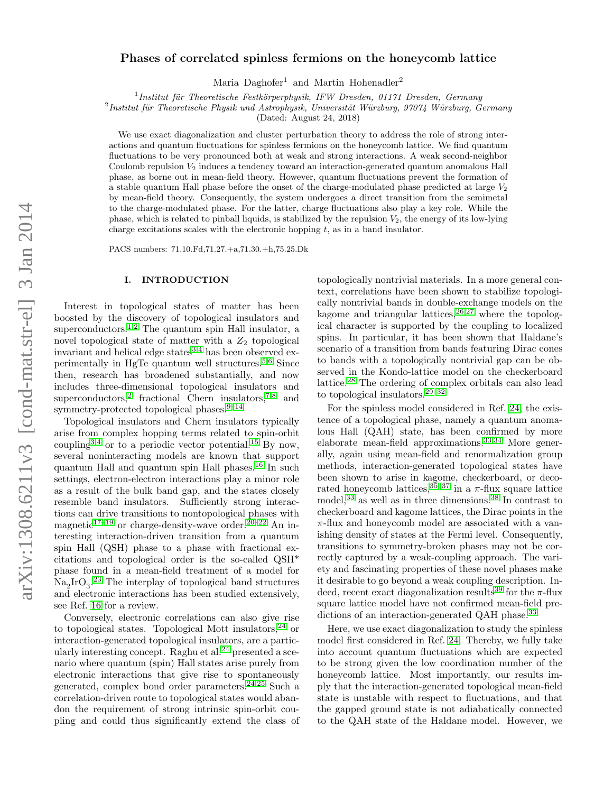# $arXiv:1308.6211v3$  [cond-mat.str-el] 3 Jan 2014 arXiv:1308.6211v3 [cond-mat.str-el] 3 Jan 2014

# Phases of correlated spinless fermions on the honeycomb lattice

Maria Daghofer<sup>1</sup> and Martin Hohenadler<sup>2</sup>

 $<sup>1</sup>$ Institut für Theoretische Festkörperphysik, IFW Dresden, 01171 Dresden, Germany</sup>

 $^{2}$ Institut für Theoretische Physik und Astrophysik, Universität Würzburg, 97074 Würzburg, Germany

(Dated: August 24, 2018)

We use exact diagonalization and cluster perturbation theory to address the role of strong interactions and quantum fluctuations for spinless fermions on the honeycomb lattice. We find quantum fluctuations to be very pronounced both at weak and strong interactions. A weak second-neighbor Coulomb repulsion  $V_2$  induces a tendency toward an interaction-generated quantum anomalous Hall phase, as borne out in mean-field theory. However, quantum fluctuations prevent the formation of a stable quantum Hall phase before the onset of the charge-modulated phase predicted at large  $V_2$ by mean-field theory. Consequently, the system undergoes a direct transition from the semimetal to the charge-modulated phase. For the latter, charge fluctuations also play a key role. While the phase, which is related to pinball liquids, is stabilized by the repulsion  $V_2$ , the energy of its low-lying charge excitations scales with the electronic hopping  $t$ , as in a band insulator.

PACS numbers: 71.10.Fd,71.27.+a,71.30.+h,75.25.Dk

# I. INTRODUCTION

Interest in topological states of matter has been boosted by the discovery of topological insulators and superconductors.<sup>[1](#page-7-0)[,2](#page-7-1)</sup> The quantum spin Hall insulator, a novel topological state of matter with a  $Z_2$  topological invariant and helical edge states $3,4$  $3,4$  has been observed ex-perimentally in HgTe quantum well structures.<sup>[5,](#page-7-4)[6](#page-7-5)</sup> Since then, research has broadened substantially, and now includes three-dimensional topological insulators and superconductors,<sup>[2](#page-7-1)</sup> fractional Chern insulators,<sup>[7](#page-7-6)[,8](#page-7-7)</sup> and symmetry-protected topological phases.  $9-14$  $9-14$ 

Topological insulators and Chern insulators typically arise from complex hopping terms related to spin-orbit coupling<sup>[3](#page-7-2)[,4](#page-7-3)</sup> or to a periodic vector potential.<sup>[15](#page-7-10)</sup> By now, several noninteracting models are known that support quantum Hall and quantum spin Hall phases.[16](#page-7-11) In such settings, electron-electron interactions play a minor role as a result of the bulk band gap, and the states closely resemble band insulators. Sufficiently strong interactions can drive transitions to nontopological phases with magnetic<sup>[17](#page-7-12)[–19](#page-7-13)</sup> or charge-density-wave order.<sup>[20](#page-7-14)[–22](#page-7-15)</sup> An interesting interaction-driven transition from a quantum spin Hall (QSH) phase to a phase with fractional excitations and topological order is the so-called QSH\* phase found in a mean-field treatment of a model for  $\text{Na}_2\text{IrO}_3$ <sup>[23](#page-7-16)</sup> The interplay of topological band structures and electronic interactions has been studied extensively, see Ref. [16](#page-7-11) for a review.

Conversely, electronic correlations can also give rise to topological states. Topological Mott insulators,  $24$  or interaction-generated topological insulators, are a partic-ularly interesting concept. Raghu et al.<sup>[24](#page-7-17)</sup> presented a scenario where quantum (spin) Hall states arise purely from electronic interactions that give rise to spontaneously generated, complex bond order parameters.[24,](#page-7-17)[25](#page-7-18) Such a correlation-driven route to topological states would abandon the requirement of strong intrinsic spin-orbit coupling and could thus significantly extend the class of

topologically nontrivial materials. In a more general context, correlations have been shown to stabilize topologically nontrivial bands in double-exchange models on the kagome and triangular lattices,  $26.27$  $26.27$  where the topological character is supported by the coupling to localized spins. In particular, it has been shown that Haldane's scenario of a transition from bands featuring Dirac cones to bands with a topologically nontrivial gap can be observed in the Kondo-lattice model on the checkerboard lattice.[28](#page-8-1) The ordering of complex orbitals can also lead to topological insulators.[29–](#page-8-2)[32](#page-8-3)

For the spinless model considered in Ref. [24,](#page-7-17) the existence of a topological phase, namely a quantum anomalous Hall (QAH) state, has been confirmed by more elaborate mean-field approximations.[33](#page-8-4)[,34](#page-8-5) More generally, again using mean-field and renormalization group methods, interaction-generated topological states have been shown to arise in kagome, checkerboard, or decorated honeycomb lattices,  $35-37$  $35-37$  in a  $\pi$ -flux square lattice model,<sup>[33](#page-8-4)</sup> as well as in three dimensions.<sup>[38](#page-8-8)</sup> In contrast to checkerboard and kagome lattices, the Dirac points in the  $\pi$ -flux and honeycomb model are associated with a vanishing density of states at the Fermi level. Consequently, transitions to symmetry-broken phases may not be correctly captured by a weak-coupling approach. The variety and fascinating properties of these novel phases make it desirable to go beyond a weak coupling description. In-deed, recent exact diagonalization results<sup>[39](#page-8-9)</sup> for the  $\pi$ -flux square lattice model have not confirmed mean-field pre-dictions of an interaction-generated QAH phase.<sup>[33](#page-8-4)</sup>

Here, we use exact diagonalization to study the spinless model first considered in Ref. [24.](#page-7-17) Thereby, we fully take into account quantum fluctuations which are expected to be strong given the low coordination number of the honeycomb lattice. Most importantly, our results imply that the interaction-generated topological mean-field state is unstable with respect to fluctuations, and that the gapped ground state is not adiabatically connected to the QAH state of the Haldane model. However, we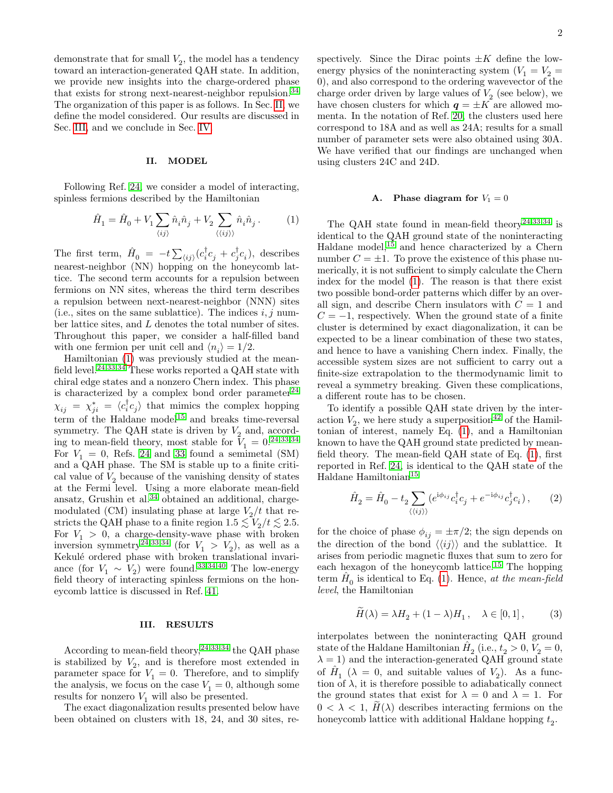demonstrate that for small  $V_2$ , the model has a tendency toward an interaction-generated QAH state. In addition, we provide new insights into the charge-ordered phase that exists for strong next-nearest-neighbor repulsion.<sup>[34](#page-8-5)</sup> The organization of this paper is as follows. In Sec. [II,](#page-1-0) we define the model considered. Our results are discussed in Sec. [III,](#page-1-1) and we conclude in Sec. [IV.](#page-7-20)

# <span id="page-1-0"></span>II. MODEL

Following Ref. [24,](#page-7-17) we consider a model of interacting, spinless fermions described by the Hamiltonian

<span id="page-1-2"></span>
$$
\hat{H}_1 = \hat{H}_0 + V_1 \sum_{\langle ij \rangle} \hat{n}_i \hat{n}_j + V_2 \sum_{\langle\langle ij \rangle\rangle} \hat{n}_i \hat{n}_j \,. \eqno{(1)}
$$

The first term,  $\hat{H}_0 = -t \sum_{\langle ij \rangle} (c_i^{\dagger} c_j + c_j^{\dagger} c_i)$ , describes nearest-neighbor (NN) hopping on the honeycomb lattice. The second term accounts for a repulsion between fermions on NN sites, whereas the third term describes a repulsion between next-nearest-neighbor (NNN) sites (i.e., sites on the same sublattice). The indices  $i, j$  number lattice sites, and L denotes the total number of sites. Throughout this paper, we consider a half-filled band with one fermion per unit cell and  $\langle n_i \rangle = 1/2$ .

Hamiltonian [\(1\)](#page-1-2) was previously studied at the mean-field level.<sup>[24](#page-7-17)[,33](#page-8-4)[,34](#page-8-5)</sup> These works reported a QAH state with chiral edge states and a nonzero Chern index. This phase is characterized by a complex bond order parameter $^{24}$  $^{24}$  $^{24}$  $\chi_{ij} = \chi_{ji}^* = \langle c_i^{\dagger} c_j \rangle$  that mimics the complex hopping term of the Haldane model<sup>[15](#page-7-10)</sup> and breaks time-reversal symmetry. The QAH state is driven by  $V_2$  and, according to mean-field theory, most stable for  $V_1 = 0.2433334$  $V_1 = 0.2433334$  $V_1 = 0.2433334$  $V_1 = 0.2433334$ For  $V_1 = 0$ , Refs. [24](#page-7-17) and [33](#page-8-4) found a semimetal (SM) and a QAH phase. The SM is stable up to a finite critical value of  $V_2$  because of the vanishing density of states at the Fermi level. Using a more elaborate mean-field ansatz, Grushin et al. $34$  obtained an additional, chargemodulated (CM) insulating phase at large  $V_2/t$  that restricts the QAH phase to a finite region  $1.5 \lesssim V_2/t \lesssim 2.5$ . For  $V_1 > 0$ , a charge-density-wave phase with broken inversion symmetry<sup>[24,](#page-7-17)[33,](#page-8-4)[34](#page-8-5)</sup> (for  $V_1 > V_2$ ), as well as a Kekulé ordered phase with broken translational invariance (for  $V_1 \sim V_2$ ) were found.<sup>[33](#page-8-4)[,34,](#page-8-5)[40](#page-8-10)</sup> The low-energy field theory of interacting spinless fermions on the honeycomb lattice is discussed in Ref. [41.](#page-8-11)

## <span id="page-1-1"></span>III. RESULTS

According to mean-field theory,  $24,33,34$  $24,33,34$  $24,33,34$  the QAH phase is stabilized by  $V_2$ , and is therefore most extended in parameter space for  $V_1 = 0$ . Therefore, and to simplify the analysis, we focus on the case  $V_1 = 0$ , although some results for nonzero  $V_1$  will also be presented.

The exact diagonalization results presented below have been obtained on clusters with 18, 24, and 30 sites, respectively. Since the Dirac points  $\pm K$  define the lowenergy physics of the noninteracting system  $(V_1 = V_2 =$ 0), and also correspond to the ordering wavevector of the charge order driven by large values of  $V_2$  (see below), we have chosen clusters for which  $q = \pm K$  are allowed momenta. In the notation of Ref. [20,](#page-7-14) the clusters used here correspond to 18A and as well as 24A; results for a small number of parameter sets were also obtained using 30A. We have verified that our findings are unchanged when using clusters 24C and 24D.

# A. Phase diagram for  $V_1 = 0$

The QAH state found in mean-field theory<sup>[24,](#page-7-17)[33](#page-8-4)[,34](#page-8-5)</sup> is identical to the QAH ground state of the noninteracting Haldane model, $^{15}$  $^{15}$  $^{15}$  and hence characterized by a Chern number  $C = \pm 1$ . To prove the existence of this phase numerically, it is not sufficient to simply calculate the Chern index for the model [\(1\)](#page-1-2). The reason is that there exist two possible bond-order patterns which differ by an overall sign, and describe Chern insulators with  $C = 1$  and  $C = -1$ , respectively. When the ground state of a finite cluster is determined by exact diagonalization, it can be expected to be a linear combination of these two states, and hence to have a vanishing Chern index. Finally, the accessible system sizes are not sufficient to carry out a finite-size extrapolation to the thermodynamic limit to reveal a symmetry breaking. Given these complications, a different route has to be chosen.

To identify a possible QAH state driven by the interaction  $V_2$ , we here study a superposition<sup>[42](#page-8-12)</sup> of the Hamiltonian of interest, namely Eq. [\(1\)](#page-1-2), and a Hamiltonian known to have the QAH ground state predicted by meanfield theory. The mean-field QAH state of Eq. [\(1\)](#page-1-2), first reported in Ref. [24,](#page-7-17) is identical to the QAH state of the Haldane Hamiltonian<sup>[15](#page-7-10)</sup>

<span id="page-1-3"></span>
$$
\hat{H}_2 = \hat{H}_0 - t_2 \sum_{\langle\langle ij\rangle\rangle} \left( e^{i\phi_{ij}} c_i^\dagger c_j + e^{-i\phi_{ij}} c_j^\dagger c_i \right),\tag{2}
$$

for the choice of phase  $\phi_{ij} = \pm \pi/2$ ; the sign depends on the direction of the bond  $\langle\langle ij\rangle\rangle$  and the sublattice. It arises from periodic magnetic fluxes that sum to zero for each hexagon of the honeycomb lattice.[15](#page-7-10) The hopping term  $\hat{H}_0$  is identical to Eq. [\(1\)](#page-1-2). Hence, at the mean-field level, the Hamiltonian

$$
\widetilde{H}(\lambda) = \lambda H_2 + (1 - \lambda)H_1, \quad \lambda \in [0, 1], \tag{3}
$$

interpolates between the noninteracting QAH ground state of the Haldane Hamiltonian  $\hat{H}_2$  (i.e.,  $t_2 > 0, V_2 = 0$ ,  $\lambda = 1$ ) and the interaction-generated QAH ground state of  $\hat{H}_1$  ( $\lambda = 0$ , and suitable values of  $V_2$ ). As a function of  $\lambda$ , it is therefore possible to adiabatically connect the ground states that exist for  $\lambda = 0$  and  $\lambda = 1$ . For  $0 < \lambda < 1$ ,  $H(\lambda)$  describes interacting fermions on the honeycomb lattice with additional Haldane hopping  $t_2$ .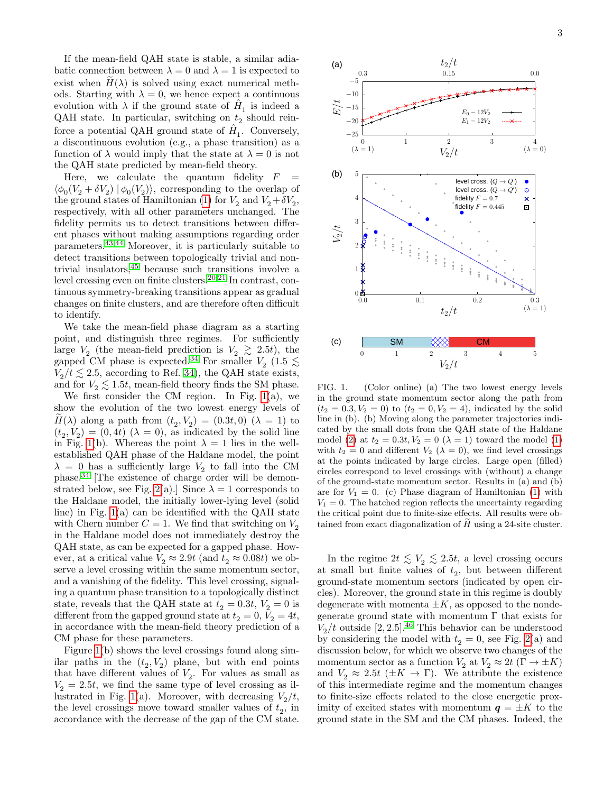If the mean-field QAH state is stable, a similar adiabatic connection between  $\lambda = 0$  and  $\lambda = 1$  is expected to exist when  $H(\lambda)$  is solved using exact numerical methods. Starting with  $\lambda = 0$ , we hence expect a continuous evolution with  $\lambda$  if the ground state of  $\hat{H}_1$  is indeed a QAH state. In particular, switching on  $t_2$  should reinforce a potential QAH ground state of  $\hat{H}_1$ . Conversely, a discontinuous evolution (e.g., a phase transition) as a function of  $\lambda$  would imply that the state at  $\lambda = 0$  is not the QAH state predicted by mean-field theory.

Here, we calculate the quantum fidelity  $F$  $\langle \phi_0(V_2 + \delta V_2) | \phi_0(V_2) \rangle$ , corresponding to the overlap of the ground states of Hamiltonian [\(1\)](#page-1-2) for  $V_2$  and  $V_2 + \delta V_2$ , respectively, with all other parameters unchanged. The fidelity permits us to detect transitions between different phases without making assumptions regarding order parameters.[43](#page-8-13)[,44](#page-8-14) Moreover, it is particularly suitable to detect transitions between topologically trivial and nontrivial insulators,[45](#page-8-15) because such transitions involve a level crossing even on finite clusters.[20,](#page-7-14)[21](#page-7-21) In contrast, continuous symmetry-breaking transitions appear as gradual changes on finite clusters, and are therefore often difficult to identify.

We take the mean-field phase diagram as a starting point, and distinguish three regimes. For sufficiently large  $V_2$  (the mean-field prediction is  $V_2 \geq 2.5t$ ), the gapped CM phase is expected.<sup>[34](#page-8-5)</sup> For smaller  $V_2$  (1.5  $\lesssim$  $V_2/t \lesssim 2.5$ , according to Ref. [34\)](#page-8-5), the QAH state exists, and for  $V_2 \lesssim 1.5t$ , mean-field theory finds the SM phase.

We first consider the CM region. In Fig.  $1(a)$ , we show the evolution of the two lowest energy levels of  $H(\lambda)$  along a path from  $(t_2, V_2) = (0.3t, 0)$   $(\lambda = 1)$  to  $(t_2, V_2) = (0, 4t)$   $(\lambda = 0)$ , as indicated by the solid line in Fig. [1\(](#page-2-0)b). Whereas the point  $\lambda = 1$  lies in the wellestablished QAH phase of the Haldane model, the point  $\lambda = 0$  has a sufficiently large  $V_2$  to fall into the CM phase.[34](#page-8-5) [The existence of charge order will be demon-strated below, see Fig. [2\(](#page-3-0)a).] Since  $\lambda = 1$  corresponds to the Haldane model, the initially lower-lying level (solid line) in Fig. [1\(](#page-2-0)a) can be identified with the QAH state with Chern number  $C = 1$ . We find that switching on  $V_2$ in the Haldane model does not immediately destroy the QAH state, as can be expected for a gapped phase. However, at a critical value  $V_2 \approx 2.9t$  (and  $t_2 \approx 0.08t$ ) we observe a level crossing within the same momentum sector, and a vanishing of the fidelity. This level crossing, signaling a quantum phase transition to a topologically distinct state, reveals that the QAH state at  $t_2 = 0.3t, V_2 = 0$  is different from the gapped ground state at  $t_2 = 0, V_2 = 4t$ , in accordance with the mean-field theory prediction of a CM phase for these parameters.

Figure [1\(](#page-2-0)b) shows the level crossings found along similar paths in the  $(t_2, V_2)$  plane, but with end points that have different values of  $V_2$ . For values as small as  $V_2 = 2.5t$ , we find the same type of level crossing as il-lustrated in Fig. [1\(](#page-2-0)a). Moreover, with decreasing  $V_2/t$ , the level crossings move toward smaller values of  $t_2$ , in accordance with the decrease of the gap of the CM state.



<span id="page-2-0"></span>FIG. 1. (Color online) (a) The two lowest energy levels in the ground state momentum sector along the path from  $(t_2 = 0.3, V_2 = 0)$  to  $(t_2 = 0, V_2 = 4)$ , indicated by the solid line in (b). (b) Moving along the parameter trajectories indicated by the small dots from the QAH state of the Haldane model [\(2\)](#page-1-3) at  $t_2 = 0.3t, V_2 = 0 \ (\lambda = 1)$  toward the model [\(1\)](#page-1-2) with  $t_2 = 0$  and different  $V_2$  ( $\lambda = 0$ ), we find level crossings at the points indicated by large circles. Large open (filled) circles correspond to level crossings with (without) a change of the ground-state momentum sector. Results in (a) and (b) are for  $V_1 = 0$ . (c) Phase diagram of Hamiltonian [\(1\)](#page-1-2) with  $V_1 = 0$ . The hatched region reflects the uncertainty regarding the critical point due to finite-size effects. All results were obtained from exact diagonalization of  $H$  using a 24-site cluster.

In the regime  $2t \lesssim V_2 \lesssim 2.5t$ , a level crossing occurs at small but finite values of  $t_2$ , but between different ground-state momentum sectors (indicated by open circles). Moreover, the ground state in this regime is doubly degenerate with momenta  $\pm K$ , as opposed to the nondegenerate ground state with momentum  $\Gamma$  that exists for  $V_2/t$  outside [2, 2.5].<sup>[46](#page-8-16)</sup> This behavior can be understood by considering the model with  $t_2 = 0$ , see Fig. [2\(](#page-3-0)a) and discussion below, for which we observe two changes of the momentum sector as a function  $V_2$  at  $V_2 \approx 2t (\Gamma \to \pm K)$ and  $V_2 \approx 2.5t \ (\pm K \rightarrow \Gamma)$ . We attribute the existence of this intermediate regime and the momentum changes to finite-size effects related to the close energetic proximity of excited states with momentum  $q = \pm K$  to the ground state in the SM and the CM phases. Indeed, the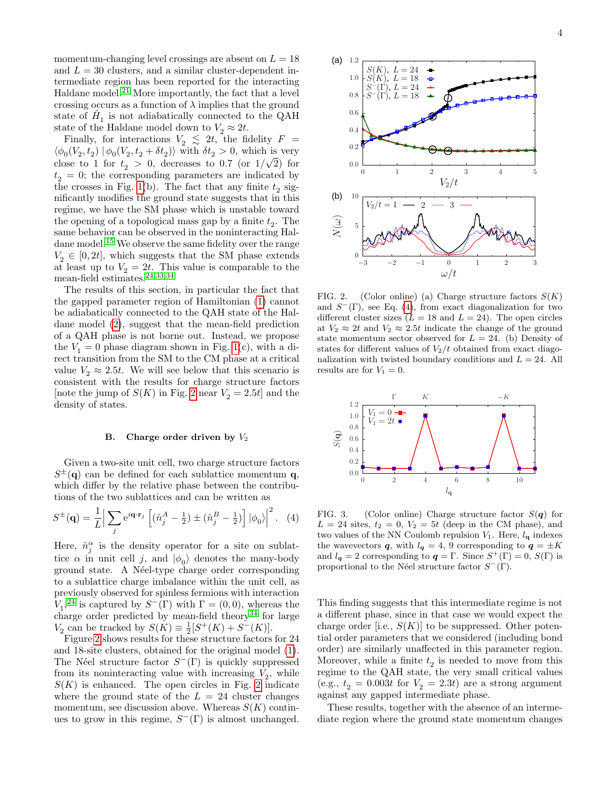momentum-changing level crossings are absent on  $L = 18$ and  $L = 30$  clusters, and a similar cluster-dependent intermediate region has been reported for the interacting Haldane model. $^{21}$  $^{21}$  $^{21}$  More importantly, the fact that a level crossing occurs as a function of  $\lambda$  implies that the ground state of  $\hat{H}_1$  is not adiabatically connected to the QAH state of the Haldane model down to  $V_2 \approx 2t$ .

Finally, for interactions  $V_2 \leq 2t$ , the fidelity  $F =$  $\langle \phi_0(V_2, t_2) | \phi_0(V_2, t_2 + \delta t_2) \rangle$  with  $\delta t_2 > 0$ , which is very close to 1 for  $t_2 > 0$ , decreases to 0.7 (or  $1/\sqrt{2}$ ) for  $t_2 = 0$ ; the corresponding parameters are indicated by the crosses in Fig. [1\(](#page-2-0)b). The fact that any finite  $t_2$  significantly modifies the ground state suggests that in this regime, we have the SM phase which is unstable toward the opening of a topological mass gap by a finite  $t_2$ . The same behavior can be observed in the noninteracting Hal-dane model.<sup>[15](#page-7-10)</sup> We observe the same fidelity over the range  $V_2 \in [0, 2t]$ , which suggests that the SM phase extends at least up to  $V_2 = 2t$ . This value is comparable to the mean-field estimates.[24,](#page-7-17)[33,](#page-8-4)[34](#page-8-5)

The results of this section, in particular the fact that the gapped parameter region of Hamiltonian [\(1\)](#page-1-2) cannot be adiabatically connected to the QAH state of the Haldane model [\(2\)](#page-1-3), suggest that the mean-field prediction of a QAH phase is not borne out. Instead, we propose the  $V_1 = 0$  phase diagram shown in Fig. [1\(](#page-2-0)c), with a direct transition from the SM to the CM phase at a critical value  $V_2 \approx 2.5t$ . We will see below that this scenario is consistent with the results for charge structure factors [note the jump of  $S(K)$  in Fig. [2](#page-3-0) near  $V_2 = 2.5t$ ] and the density of states.

#### <span id="page-3-3"></span>B. Charge order driven by  $V_2$

Given a two-site unit cell, two charge structure factors  $S^{\pm}(\mathbf{q})$  can be defined for each sublattice momentum  $\mathbf{q}$ , which differ by the relative phase between the contributions of the two sublattices and can be written as

$$
S^{\pm}(\mathbf{q}) = \frac{1}{L} \Big| \sum_{j} e^{i\mathbf{q} \cdot \mathbf{r}_{j}} \left[ (\hat{n}_{j}^{A} - \frac{1}{2}) \pm (\hat{n}_{j}^{B} - \frac{1}{2}) \right] |\phi_{0}\rangle \Big|^{2}.
$$
 (4)

Here,  $\hat{n}_j^{\alpha}$  is the density operator for a site on sublattice  $\alpha$  in unit cell j, and  $|\phi_0\rangle$  denotes the many-body ground state. A Néel-type charge order corresponding to a sublattice charge imbalance within the unit cell, as previously observed for spinless fermions with interaction  $V_1$ ,<sup>[24](#page-7-17)</sup> is captured by  $S^-(\Gamma)$  with  $\Gamma = (0,0)$ , whereas the charge order predicted by mean-field theory<sup>[34](#page-8-5)</sup> for large  $V_2$  can be tracked by  $S(K) \equiv \frac{1}{2}[S^+(K) + S^-(K)].$ 

Figure [2](#page-3-0) shows results for these structure factors for 24 and 18-site clusters, obtained for the original model [\(1\)](#page-1-2). The Néel structure factor  $S^-(\Gamma)$  is quickly suppressed from its noninteracting value with increasing  $V_2$ , while  $S(K)$  is enhanced. The open circles in Fig. [2](#page-3-0) indicate where the ground state of the  $L = 24$  cluster changes momentum, see discussion above. Whereas  $S(K)$  continues to grow in this regime,  $S^-(\Gamma)$  is almost unchanged.



<span id="page-3-0"></span>FIG. 2. (Color online) (a) Charge structure factors  $S(K)$ and  $S^-(\Gamma)$ , see Eq. [\(4\)](#page-3-1), from exact diagonalization for two different cluster sizes  $(L = 18$  and  $L = 24)$ . The open circles at  $V_2 \approx 2t$  and  $V_2 \approx 2.5t$  indicate the change of the ground state momentum sector observed for  $L = 24$ . (b) Density of states for different values of  $V_2/t$  obtained from exact diagonalization with twisted boundary conditions and  $L = 24$ . All results are for  $V_1 = 0$ .



<span id="page-3-2"></span><span id="page-3-1"></span>FIG. 3. (Color online) Charge structure factor  $S(q)$  for  $L = 24$  sites,  $t_2 = 0$ ,  $V_2 = 5t$  (deep in the CM phase), and two values of the NN Coulomb repulsion  $V_1$ . Here,  $l_q$  indexes the wavevectors q, with  $l_q = 4$ , 9 corresponding to  $q = \pm K$ and  $l_q = 2$  corresponding to  $q = \Gamma$ . Since  $S^+(\Gamma) = 0$ ,  $S(\Gamma)$  is proportional to the Néel structure factor  $S^-(\Gamma)$ .

This finding suggests that this intermediate regime is not a different phase, since in that case we would expect the charge order [i.e.,  $S(K)$ ] to be suppressed. Other potential order parameters that we considered (including bond order) are similarly unaffected in this parameter region. Moreover, while a finite  $t_2$  is needed to move from this regime to the QAH state, the very small critical values (e.g.,  $t_2 = 0.003t$  for  $V_2 = 2.3t$ ) are a strong argument against any gapped intermediate phase.

These results, together with the absence of an intermediate region where the ground state momentum changes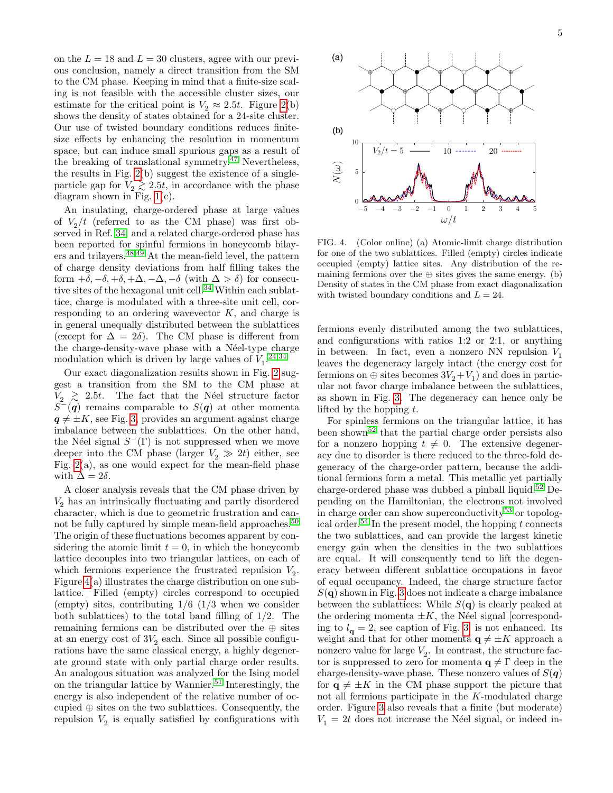on the  $L = 18$  and  $L = 30$  clusters, agree with our previous conclusion, namely a direct transition from the SM to the CM phase. Keeping in mind that a finite-size scaling is not feasible with the accessible cluster sizes, our estimate for the critical point is  $V_2 \approx 2.5t$ . Figure [2\(](#page-3-0)b) shows the density of states obtained for a 24-site cluster. Our use of twisted boundary conditions reduces finitesize effects by enhancing the resolution in momentum space, but can induce small spurious gaps as a result of the breaking of translational symmetry.[47](#page-8-17) Nevertheless, the results in Fig. [2\(](#page-3-0)b) suggest the existence of a singleparticle gap for  $V_2 \gtrsim 2.5t$ , in accordance with the phase diagram shown in Fig. [1\(](#page-2-0)c).

An insulating, charge-ordered phase at large values of  $V_2/t$  (referred to as the CM phase) was first observed in Ref. [34,](#page-8-5) and a related charge-ordered phase has been reported for spinful fermions in honeycomb bilayers and trilayers.[48,](#page-8-18)[49](#page-8-19) At the mean-field level, the pattern of charge density deviations from half filling takes the form  $+\delta, -\delta, +\delta, +\Delta, -\Delta, -\delta$  (with  $\Delta > \delta$ ) for consecu-tive sites of the hexagonal unit cell.<sup>[34](#page-8-5)</sup> Within each sublattice, charge is modulated with a three-site unit cell, corresponding to an ordering wavevector  $K$ , and charge is in general unequally distributed between the sublattices (except for  $\Delta = 2\delta$ ). The CM phase is different from the charge-density-wave phase with a Néel-type charge modulation which is driven by large values of  $V_1$ <sup>[24](#page-7-17)[,34](#page-8-5)</sup>

Our exact diagonalization results shown in Fig. [2](#page-3-0) suggest a transition from the SM to the CM phase at  $V_2 \geq 2.5t$ . The fact that the Néel structure factor  $S^{-}(q)$  remains comparable to  $S(q)$  at other momenta  $q \neq \pm K$ , see Fig. [3,](#page-3-2) provides an argument against charge imbalance between the sublattices. On the other hand, the Néel signal  $S<sup>-</sup>(\Gamma)$  is not suppressed when we move deeper into the CM phase (larger  $V_2 \gg 2t$ ) either, see Fig.  $2(a)$ , as one would expect for the mean-field phase with  $\Delta = 2\delta$ .

A closer analysis reveals that the CM phase driven by  $\,V_2$  has an intrinsically fluctuating and partly disordered character, which is due to geometric frustration and can-not be fully captured by simple mean-field approaches.<sup>[50](#page-8-20)</sup> The origin of these fluctuations becomes apparent by considering the atomic limit  $t = 0$ , in which the honeycomb lattice decouples into two triangular lattices, on each of which fermions experience the frustrated repulsion  $V_2$ . Figure [4\(](#page-4-0)a) illustrates the charge distribution on one sublattice. Filled (empty) circles correspond to occupied (empty) sites, contributing  $1/6$  ( $1/3$  when we consider both sublattices) to the total band filling of 1/2. The remaining fermions can be distributed over the ⊕ sites at an energy cost of  $3V_2$  each. Since all possible configurations have the same classical energy, a highly degenerate ground state with only partial charge order results. An analogous situation was analyzed for the Ising model on the triangular lattice by Wannier.<sup>[51](#page-8-21)</sup> Interestingly, the energy is also independent of the relative number of occupied ⊕ sites on the two sublattices. Consequently, the repulsion  $V_2$  is equally satisfied by configurations with



<span id="page-4-0"></span>FIG. 4. (Color online) (a) Atomic-limit charge distribution for one of the two sublattices. Filled (empty) circles indicate occupied (empty) lattice sites. Any distribution of the remaining fermions over the  $oplus$  sites gives the same energy. (b) Density of states in the CM phase from exact diagonalization with twisted boundary conditions and  $L = 24$ .

fermions evenly distributed among the two sublattices, and configurations with ratios 1:2 or 2:1, or anything in between. In fact, even a nonzero NN repulsion  $V_1$ leaves the degeneracy largely intact (the energy cost for fermions on  $\oplus$  sites becomes  $3V_2 + V_1$ ) and does in particular not favor charge imbalance between the sublattices, as shown in Fig. [3.](#page-3-2) The degeneracy can hence only be lifted by the hopping  $t$ .

For spinless fermions on the triangular lattice, it has been shown[52](#page-8-22) that the partial charge order persists also for a nonzero hopping  $t \neq 0$ . The extensive degeneracy due to disorder is there reduced to the three-fold degeneracy of the charge-order pattern, because the additional fermions form a metal. This metallic yet partially charge-ordered phase was dubbed a pinball liquid.<sup>[52](#page-8-22)</sup> Depending on the Hamiltonian, the electrons not involved in charge order can show superconductivity<sup>[53](#page-8-23)</sup> or topolog-ical order.<sup>[54](#page-8-24)</sup> In the present model, the hopping  $t$  connects the two sublattices, and can provide the largest kinetic energy gain when the densities in the two sublattices are equal. It will consequently tend to lift the degeneracy between different sublattice occupations in favor of equal occupancy. Indeed, the charge structure factor  $S(\mathbf{q})$  shown in Fig. [3](#page-3-2) does not indicate a charge imbalance between the sublattices: While  $S(\mathbf{q})$  is clearly peaked at the ordering momenta  $\pm K$ , the Néel signal [corresponding to  $l_{\mathbf{q}} = 2$ , see caption of Fig. [3\]](#page-3-2) is not enhanced. Its weight and that for other momenta  $q \neq \pm K$  approach a nonzero value for large  $V_2$ . In contrast, the structure factor is suppressed to zero for momenta  $q \neq \Gamma$  deep in the charge-density-wave phase. These nonzero values of  $S(\boldsymbol{q})$ for  $q \neq \pm K$  in the CM phase support the picture that not all fermions participate in the K-modulated charge order. Figure [3](#page-3-2) also reveals that a finite (but moderate)  $V_1 = 2t$  does not increase the Néel signal, or indeed in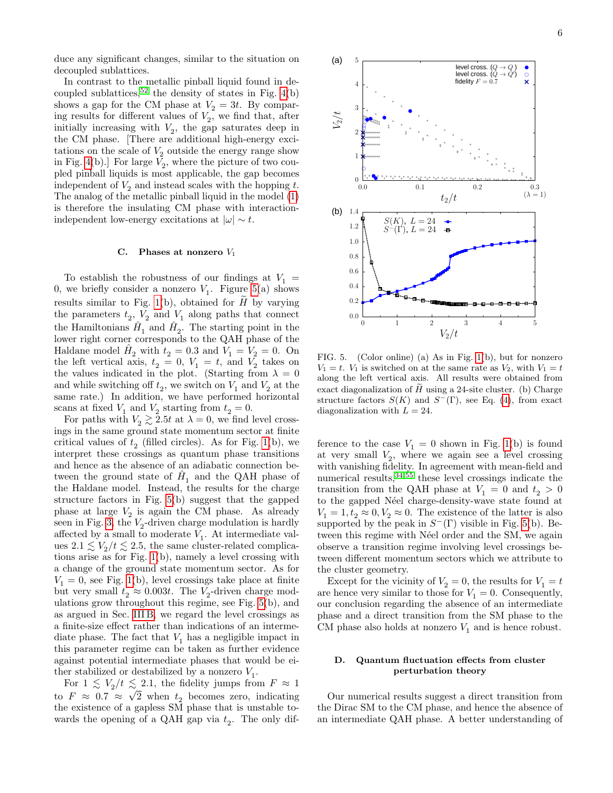duce any significant changes, similar to the situation on decoupled sublattices.

In contrast to the metallic pinball liquid found in de-coupled sublattices,<sup>[52](#page-8-22)</sup> the density of states in Fig.  $4(b)$ shows a gap for the CM phase at  $V_2 = 3t$ . By comparing results for different values of  $V_2$ , we find that, after initially increasing with  $V_2$ , the gap saturates deep in the CM phase. [There are additional high-energy excitations on the scale of  $V_2$  outside the energy range show in Fig. [4\(](#page-4-0)b).] For large  $V_2$ , where the picture of two coupled pinball liquids is most applicable, the gap becomes independent of  $V_2$  and instead scales with the hopping t. The analog of the metallic pinball liquid in the model [\(1\)](#page-1-2) is therefore the insulating CM phase with interactionindependent low-energy excitations at  $|\omega| \sim t$ .

#### C. Phases at nonzero  $V_1$

To establish the robustness of our findings at  $V_1$  = 0, we briefly consider a nonzero  $V_1$ . Figure [5\(](#page-5-0)a) shows results similar to Fig. [1\(](#page-2-0)b), obtained for  $\tilde{H}$  by varying the parameters  $t_2$ ,  $V_2$  and  $V_1$  along paths that connect the Hamiltonians  $\hat{H}_1$  and  $\hat{H}_2$ . The starting point in the lower right corner corresponds to the QAH phase of the Haldane model  $\hat{H}_2$  with  $t_2 = 0.3$  and  $\hat{V}_1 = \hat{V}_2 = 0$ . On the left vertical axis,  $t_2 = 0, V_1 = t$ , and  $V_2$  takes on the values indicated in the plot. (Starting from  $\lambda = 0$ and while switching off  $t_2$ , we switch on  $V_1$  and  $V_2$  at the same rate.) In addition, we have performed horizontal scans at fixed  $V_1$  and  $V_2$  starting from  $t_2 = 0$ .

For paths with  $V_2 \gtrsim 2.5t$  at  $\lambda = 0$ , we find level crossings in the same ground state momentum sector at finite critical values of  $t_2$  (filled circles). As for Fig. [1\(](#page-2-0)b), we interpret these crossings as quantum phase transitions and hence as the absence of an adiabatic connection between the ground state of  $\hat{H}_1$  and the QAH phase of the Haldane model. Instead, the results for the charge structure factors in Fig. [5\(](#page-5-0)b) suggest that the gapped phase at large  $V_2$  is again the CM phase. As already seen in Fig. [3,](#page-3-2) the  $V_2$ -driven charge modulation is hardly affected by a small to moderate  $V_1$ . At intermediate values  $2.1 \lesssim V_2/t \lesssim 2.5$ , the same cluster-related complications arise as for Fig. [1\(](#page-2-0)b), namely a level crossing with a change of the ground state momentum sector. As for  $V_1 = 0$ , see Fig. [1\(](#page-2-0)b), level crossings take place at finite but very small  $t_2 \approx 0.003t$ . The  $V_2$ -driven charge modulations grow throughout this regime, see Fig. [5\(](#page-5-0)b), and as argued in Sec. [III B,](#page-3-3) we regard the level crossings as a finite-size effect rather than indications of an intermediate phase. The fact that  $V_1$  has a negligible impact in this parameter regime can be taken as further evidence against potential intermediate phases that would be either stabilized or destabilized by a nonzero  $V_1$ .

For  $1 \leq V_2/t \leq 2.1$ , the fidelity jumps from  $F \approx 1$ to  $F \approx 0.7 \approx \sqrt{2}$  when  $t_2$  becomes zero, indicating the existence of a gapless SM phase that is unstable towards the opening of a QAH gap via  $t_2$ . The only dif-



<span id="page-5-0"></span>FIG. 5. (Color online) (a) As in Fig. [1\(](#page-2-0)b), but for nonzero  $V_1 = t$ .  $V_1$  is switched on at the same rate as  $V_2$ , with  $V_1 = t$ along the left vertical axis. All results were obtained from exact diagonalization of  $\tilde{H}$  using a 24-site cluster. (b) Charge structure factors  $S(K)$  and  $S^{-}(\Gamma)$ , see Eq. [\(4\)](#page-3-1), from exact diagonalization with  $L = 24$ .

ference to the case  $V_1 = 0$  shown in Fig. [1\(](#page-2-0)b) is found at very small  $V_2$ , where we again see a level crossing with vanishing fidelity. In agreement with mean-field and numerical results,[34,](#page-8-5)[55](#page-8-25) these level crossings indicate the transition from the QAH phase at  $V_1 = 0$  and  $t_2 > 0$ to the gapped Néel charge-density-wave state found at  $V_1 = 1, t_2 \approx 0, V_2 \approx 0$ . The existence of the latter is also supported by the peak in  $S^-(\Gamma)$  visible in Fig. [5\(](#page-5-0)b). Between this regime with N'eel order and the SM, we again observe a transition regime involving level crossings between different momentum sectors which we attribute to the cluster geometry.

Except for the vicinity of  $V_2 = 0$ , the results for  $V_1 = t$ are hence very similar to those for  $V_1 = 0$ . Consequently, our conclusion regarding the absence of an intermediate phase and a direct transition from the SM phase to the CM phase also holds at nonzero  $V_1$  and is hence robust.

# D. Quantum fluctuation effects from cluster perturbation theory

Our numerical results suggest a direct transition from the Dirac SM to the CM phase, and hence the absence of an intermediate QAH phase. A better understanding of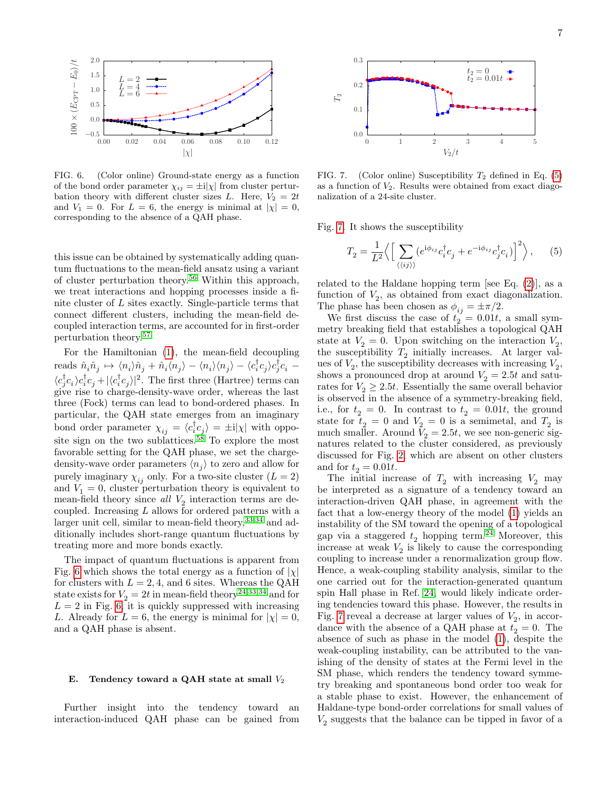

<span id="page-6-0"></span>FIG. 6. (Color online) Ground-state energy as a function of the bond order parameter  $\chi_{ij} = \pm i|\chi|$  from cluster perturbation theory with different cluster sizes L. Here,  $V_2 = 2t$ and  $V_1 = 0$ . For  $L = 6$ , the energy is minimal at  $|\chi| = 0$ , corresponding to the absence of a QAH phase.

this issue can be obtained by systematically adding quantum fluctuations to the mean-field ansatz using a variant of cluster perturbation theory.[56](#page-8-26) Within this approach, we treat interactions and hopping processes inside a finite cluster of L sites exactly. Single-particle terms that connect different clusters, including the mean-field decoupled interaction terms, are accounted for in first-order perturbation theory.[57](#page-8-27)

For the Hamiltonian [\(1\)](#page-1-2), the mean-field decoupling reads  $\hat{n}_i \hat{n}_j \mapsto \langle n_i \rangle \hat{n}_j + \hat{n}_i \langle n_j \rangle - \langle n_i \rangle \langle n_j \rangle - \langle c_i^{\dagger} c_j \rangle c_j^{\dagger} c_i \langle c^\dagger_jc^{\phantom\dagger}_i c^{\phantom\dagger}_j c^{\phantom\dagger}_j c^{\phantom\dagger}_j\rangle|^2.$  The first three (Hartree) terms can give rise to charge-density-wave order, whereas the last three (Fock) terms can lead to bond-ordered phases. In particular, the QAH state emerges from an imaginary bond order parameter  $\chi_{ij} = \langle c_i^{\dagger} c_j \rangle = \pm i |\chi|$  with oppo-site sign on the two sublattices.<sup>[58](#page-8-28)</sup> To explore the most favorable setting for the QAH phase, we set the chargedensity-wave order parameters  $\langle n_j \rangle$  to zero and allow for purely imaginary  $\chi_{ij}$  only. For a two-site cluster  $(L = 2)$ and  $V_1 = 0$ , cluster perturbation theory is equivalent to mean-field theory since  $all$   $V_2$  interaction terms are decoupled. Increasing  $L$  allows for ordered patterns with a larger unit cell, similar to mean-field theory,  $33,34$  $33,34$  and additionally includes short-range quantum fluctuations by treating more and more bonds exactly.

The impact of quantum fluctuations is apparent from Fig. [6](#page-6-0) which shows the total energy as a function of  $|\chi|$ for clusters with  $L = 2, 4$ , and 6 sites. Whereas the QAH state exists for  $V_2 = 2t$  in mean-field theory<sup>[24,](#page-7-17)[33](#page-8-4)[,34](#page-8-5)</sup> and for  $L = 2$  in Fig. [6,](#page-6-0) it is quickly suppressed with increasing L. Already for  $L = 6$ , the energy is minimal for  $|\chi| = 0$ , and a QAH phase is absent.

#### E. Tendency toward a QAH state at small  $V_2$

Further insight into the tendency toward an interaction-induced QAH phase can be gained from



<span id="page-6-2"></span>FIG. 7. (Color online) Susceptibility  $T_2$  defined in Eq. [\(5\)](#page-6-1) as a function of  $V_2$ . Results were obtained from exact diagonalization of a 24-site cluster.

Fig. [7.](#page-6-2) It shows the susceptibility

<span id="page-6-1"></span>
$$
T_2 = \frac{1}{L^2} \Big\langle \Big[ \sum_{\langle\langle ij \rangle\rangle} (e^{\mathrm{i}\phi_{ij}} c_i^{\dagger} c_j + e^{-\mathrm{i}\phi_{ij}} c_j^{\dagger} c_i) \Big]^2 \Big\rangle, \quad (5)
$$

related to the Haldane hopping term [see Eq.  $(2)$ ], as a function of  $V_2$ , as obtained from exact diagonalization. The phase has been chosen as  $\phi_{ij} = \pm \pi/2$ .

We first discuss the case of  $t_2 = 0.01t$ , a small symmetry breaking field that establishes a topological QAH state at  $V_2 = 0$ . Upon switching on the interaction  $V_2$ , the susceptibility  $T_2$  initially increases. At larger values of  $V_2$ , the susceptibility decreases with increasing  $V_2$ , shows a pronounced drop at around  $V_2 = 2.5t$  and saturates for  $V_2 \geq 2.5t$ . Essentially the same overall behavior is observed in the absence of a symmetry-breaking field, i.e., for  $t_2 = 0$ . In contrast to  $t_2 = 0.01t$ , the ground state for  $t_2 = 0$  and  $V_2 = 0$  is a semimetal, and  $T_2$  is much smaller. Around  $V_2 = 2.5t$ , we see non-generic signatures related to the cluster considered, as previously discussed for Fig. [2,](#page-3-0) which are absent on other clusters and for  $t_2 = 0.01t$ .

The initial increase of  $T_2$  with increasing  $V_2$  may be interpreted as a signature of a tendency toward an interaction-driven QAH phase, in agreement with the fact that a low-energy theory of the model [\(1\)](#page-1-2) yields an instability of the SM toward the opening of a topological gap via a staggered  $t_2$  hopping term.<sup>[24](#page-7-17)</sup> Moreover, this increase at weak  $V_2$  is likely to cause the corresponding coupling to increase under a renormalization group flow. Hence, a weak-coupling stability analysis, similar to the one carried out for the interaction-generated quantum spin Hall phase in Ref. [24,](#page-7-17) would likely indicate ordering tendencies toward this phase. However, the results in Fig. [7](#page-6-2) reveal a decrease at larger values of  $V_2$ , in accordance with the absence of a QAH phase at  $t_2 = 0$ . The absence of such as phase in the model [\(1\)](#page-1-2), despite the weak-coupling instability, can be attributed to the vanishing of the density of states at the Fermi level in the SM phase, which renders the tendency toward symmetry breaking and spontaneous bond order too weak for a stable phase to exist. However, the enhancement of Haldane-type bond-order correlations for small values of  $V_2$  suggests that the balance can be tipped in favor of a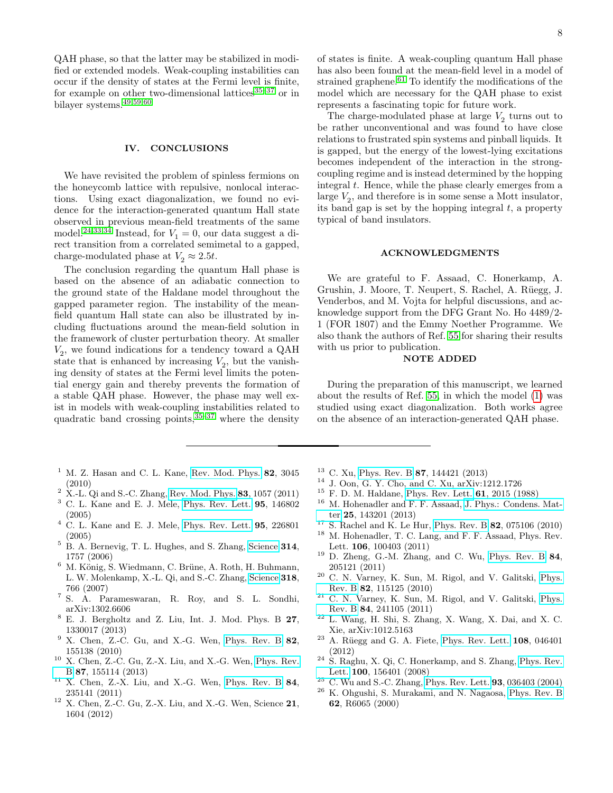QAH phase, so that the latter may be stabilized in modified or extended models. Weak-coupling instabilities can occur if the density of states at the Fermi level is finite, for example on other two-dimensional lattices $35-37$  $35-37$  or in bilayer systems.[49,](#page-8-19)[59](#page-8-29)[,60](#page-8-30)

# <span id="page-7-20"></span>IV. CONCLUSIONS

We have revisited the problem of spinless fermions on the honeycomb lattice with repulsive, nonlocal interactions. Using exact diagonalization, we found no evidence for the interaction-generated quantum Hall state observed in previous mean-field treatments of the same model.<sup>[24](#page-7-17)[,33](#page-8-4)[,34](#page-8-5)</sup> Instead, for  $V_1 = 0$ , our data suggest a direct transition from a correlated semimetal to a gapped, charge-modulated phase at  $V_2 \approx 2.5t$ .

The conclusion regarding the quantum Hall phase is based on the absence of an adiabatic connection to the ground state of the Haldane model throughout the gapped parameter region. The instability of the meanfield quantum Hall state can also be illustrated by including fluctuations around the mean-field solution in the framework of cluster perturbation theory. At smaller  $V_2$ , we found indications for a tendency toward a QAH state that is enhanced by increasing  $V_2$ , but the vanishing density of states at the Fermi level limits the potential energy gain and thereby prevents the formation of a stable QAH phase. However, the phase may well exist in models with weak-coupling instabilities related to quadratic band crossing points,  $35-37$  $35-37$  where the density

- <span id="page-7-0"></span> $1$  M. Z. Hasan and C. L. Kane, [Rev. Mod. Phys.](http://dx.doi.org/10.1103/RevModPhys.82.3045) 82, 3045 (2010)
- <span id="page-7-1"></span> $^2$  X.-L. Qi and S.-C. Zhang, [Rev. Mod. Phys.](http://dx.doi.org/10.1103/RevModPhys.83.1057) 83, 1057 (2011)
- <span id="page-7-2"></span><sup>3</sup> C. L. Kane and E. J. Mele, [Phys. Rev. Lett.](http://dx.doi.org/10.1103/PhysRevLett.95.146802) 95, 146802 (2005)
- <span id="page-7-3"></span> $4$  C. L. Kane and E. J. Mele, [Phys. Rev. Lett.](http://dx.doi.org/10.1103/PhysRevLett.95.226801)  $95$ ,  $226801$ (2005)
- <span id="page-7-4"></span><sup>5</sup> B. A. Bernevig, T. L. Hughes, and S. Zhang, [Science](http://dx.doi.org/10.1126/science.1133734) 314, 1757 (2006)
- <span id="page-7-5"></span> $6$  M. König, S. Wiedmann, C. Brüne, A. Roth, H. Buhmann, L. W. Molenkamp, X.-L. Qi, and S.-C. Zhang, [Science](http://dx.doi.org/DOI: 10.1126/science.1148047) 318, 766 (2007)
- <span id="page-7-6"></span><sup>7</sup> S. A. Parameswaran, R. Roy, and S. L. Sondhi, arXiv:1302.6606
- <span id="page-7-7"></span><sup>8</sup> E. J. Bergholtz and Z. Liu, Int. J. Mod. Phys. B 27, 1330017 (2013)
- <span id="page-7-8"></span>X. Chen, Z.-C. Gu, and X.-G. Wen, [Phys. Rev. B](http://dx.doi.org/10.1103/PhysRevB.82.155138) 82, 155138 (2010)
- <sup>10</sup> X. Chen, Z.-C. Gu, Z.-X. Liu, and X.-G. Wen, [Phys. Rev.](http://dx.doi.org/10.1103/PhysRevB.87.155114) [B](http://dx.doi.org/10.1103/PhysRevB.87.155114) 87, 155114 (2013)
- $11$  X. Chen, Z.-X. Liu, and X.-G. Wen, [Phys. Rev. B](http://dx.doi.org/10.1103/PhysRevB.84.235141) 84, 235141 (2011)
- $^{12}$  X. Chen, Z.-C. Gu, Z.-X. Liu, and X.-G. Wen, Science  $21$ , 1604 (2012)

of states is finite. A weak-coupling quantum Hall phase has also been found at the mean-field level in a model of strained graphene. $61$  To identify the modifications of the model which are necessary for the QAH phase to exist represents a fascinating topic for future work.

The charge-modulated phase at large  $V_2$  turns out to be rather unconventional and was found to have close relations to frustrated spin systems and pinball liquids. It is gapped, but the energy of the lowest-lying excitations becomes independent of the interaction in the strongcoupling regime and is instead determined by the hopping integral t. Hence, while the phase clearly emerges from a large  $V_2$ , and therefore is in some sense a Mott insulator, its band gap is set by the hopping integral  $t$ , a property typical of band insulators.

# ACKNOWLEDGMENTS

We are grateful to F. Assaad, C. Honerkamp, A. Grushin, J. Moore, T. Neupert, S. Rachel, A. Rüegg, J. Venderbos, and M. Vojta for helpful discussions, and acknowledge support from the DFG Grant No. Ho 4489/2- 1 (FOR 1807) and the Emmy Noether Programme. We also thank the authors of Ref. [55](#page-8-25) for sharing their results with us prior to publication.

### NOTE ADDED

During the preparation of this manuscript, we learned about the results of Ref. [55,](#page-8-25) in which the model [\(1\)](#page-1-2) was studied using exact diagonalization. Both works agree on the absence of an interaction-generated QAH phase.

- <sup>13</sup> C. Xu, [Phys. Rev. B](http://dx.doi.org/10.1103/PhysRevB.87.144421) 87, 144421 (2013)
- <span id="page-7-9"></span><sup>14</sup> J. Oon, G. Y. Cho, and C. Xu, arXiv:1212.1726
- <span id="page-7-10"></span> $^{15}$  F. D. M. Haldane, [Phys. Rev. Lett.](http://dx.doi.org/10.1103/PhysRevLett.61.2015)  $61, 2015$  (1988)
- <span id="page-7-11"></span><sup>16</sup> M. Hohenadler and F. F. Assaad, [J. Phys.: Condens. Mat](http://dx.doi.org/10.1088/0953-8984/25/14/143201)[ter](http://dx.doi.org/10.1088/0953-8984/25/14/143201) 25, 143201 (2013)
- <span id="page-7-12"></span><sup>17</sup> S. Rachel and K. Le Hur, [Phys. Rev. B](http://dx.doi.org/10.1103/PhysRevB.82.075106) **82**, 075106 (2010)  $^{18}\,$  M. Hohenadler, T. C. Lang, and F. F. Assaad, Phys. Rev. Lett. 106, 100403 (2011)
- <span id="page-7-13"></span> $19$  D. Zheng, G.-M. Zhang, and C. Wu, [Phys. Rev. B](http://dx.doi.org/10.1103/PhysRevB.84.205121)  $84$ , 205121 (2011)
- <span id="page-7-14"></span><sup>20</sup> C. N. Varney, K. Sun, M. Rigol, and V. Galitski, [Phys.](http://dx.doi.org/10.1103/PhysRevB.82.115125) [Rev. B](http://dx.doi.org/10.1103/PhysRevB.82.115125) 82, 115125 (2010)
- <span id="page-7-21"></span><sup>21</sup> C. N. Varney, K. Sun, M. Rigol, and V. Galitski, [Phys.](http://dx.doi.org/10.1103/PhysRevB.84.241105) [Rev. B](http://dx.doi.org/10.1103/PhysRevB.84.241105) 84, 241105 (2011)
- <span id="page-7-15"></span>L. Wang, H. Shi, S. Zhang, X. Wang, X. Dai, and X. C. Xie, arXiv:1012.5163
- <span id="page-7-16"></span> $23$  A. Rüegg and G. A. Fiete, [Phys. Rev. Lett.](http://dx.doi.org/10.1103/PhysRevLett.108.046401) 108, 046401 (2012)
- <span id="page-7-17"></span><sup>24</sup> S. Raghu, X. Qi, C. Honerkamp, and S. Zhang, [Phys. Rev.](http://dx.doi.org/10.1103/PhysRevLett.100.156401) [Lett.](http://dx.doi.org/10.1103/PhysRevLett.100.156401) 100, 156401 (2008)
- <span id="page-7-18"></span> $^{25}$  C. Wu and S.-C. Zhang, [Phys. Rev. Lett.](http://dx.doi.org/10.1103/PhysRevLett.93.036403) **93**, 036403 (2004)<br> $^{26}$  K. Obeyshi, S. Murakami, and N. Nagaosa, Phys. Rev. B
- <span id="page-7-19"></span><sup>26</sup> K. Ohgushi, S. Murakami, and N. Nagaosa, [Phys. Rev. B](http://dx.doi.org/10.1103/PhysRevB.62.R6065) 62, R6065 (2000)